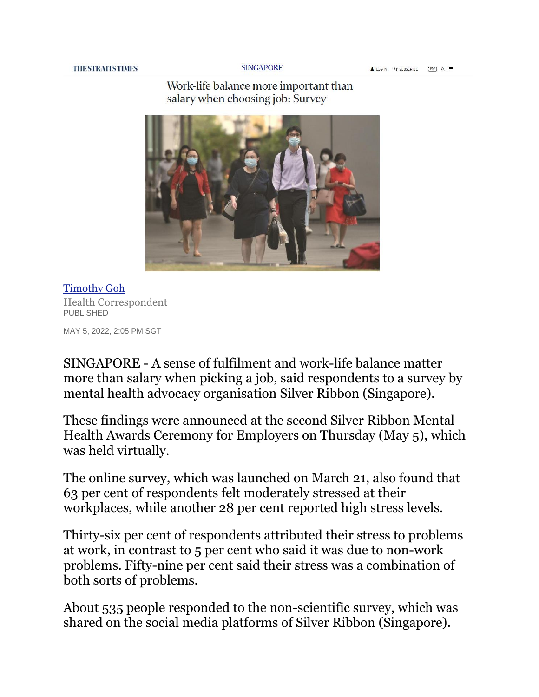**SINGAPORE** 

## Work-life balance more important than salary when choosing job: Survey



[Timothy Goh](https://www.straitstimes.com/authors/timothy-goh) Health Correspondent PUBLISHED

MAY 5, 2022, 2:05 PM SGT

SINGAPORE - A sense of fulfilment and work-life balance matter more than salary when picking a job, said respondents to a survey by mental health advocacy organisation Silver Ribbon (Singapore).

These findings were announced at the second Silver Ribbon Mental Health Awards Ceremony for Employers on Thursday (May 5), which was held virtually.

The online survey, which was launched on March 21, also found that 63 per cent of respondents felt moderately stressed at their workplaces, while another 28 per cent reported high stress levels.

Thirty-six per cent of respondents attributed their stress to problems at work, in contrast to 5 per cent who said it was due to non-work problems. Fifty-nine per cent said their stress was a combination of both sorts of problems.

About 535 people responded to the non-scientific survey, which was shared on the social media platforms of Silver Ribbon (Singapore).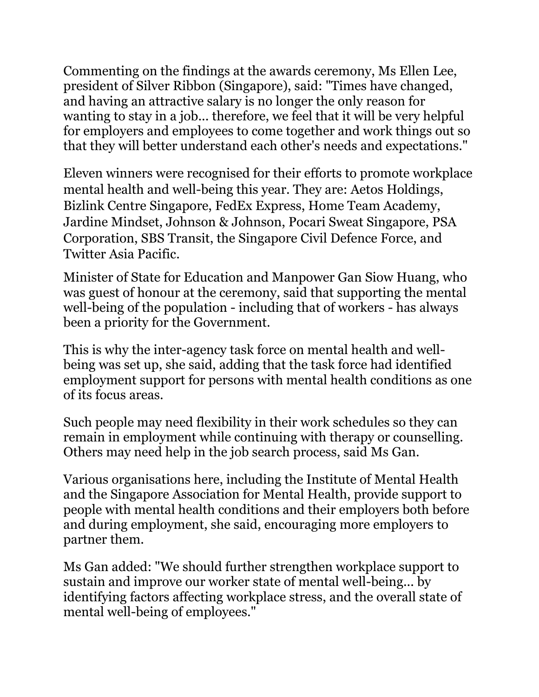Commenting on the findings at the awards ceremony, Ms Ellen Lee, president of Silver Ribbon (Singapore), said: "Times have changed, and having an attractive salary is no longer the only reason for wanting to stay in a job... therefore, we feel that it will be very helpful for employers and employees to come together and work things out so that they will better understand each other's needs and expectations."

Eleven winners were recognised for their efforts to promote workplace mental health and well-being this year. They are: Aetos Holdings, Bizlink Centre Singapore, FedEx Express, Home Team Academy, Jardine Mindset, Johnson & Johnson, Pocari Sweat Singapore, PSA Corporation, SBS Transit, the Singapore Civil Defence Force, and Twitter Asia Pacific.

Minister of State for Education and Manpower Gan Siow Huang, who was guest of honour at the ceremony, said that supporting the mental well-being of the population - including that of workers - has always been a priority for the Government.

This is why the inter-agency task force on mental health and wellbeing was set up, she said, adding that the task force had identified employment support for persons with mental health conditions as one of its focus areas.

Such people may need flexibility in their work schedules so they can remain in employment while continuing with therapy or counselling. Others may need help in the job search process, said Ms Gan.

Various organisations here, including the Institute of Mental Health and the Singapore Association for Mental Health, provide support to people with mental health conditions and their employers both before and during employment, she said, encouraging more employers to partner them.

Ms Gan added: "We should further strengthen workplace support to sustain and improve our worker state of mental well-being... by identifying factors affecting workplace stress, and the overall state of mental well-being of employees."